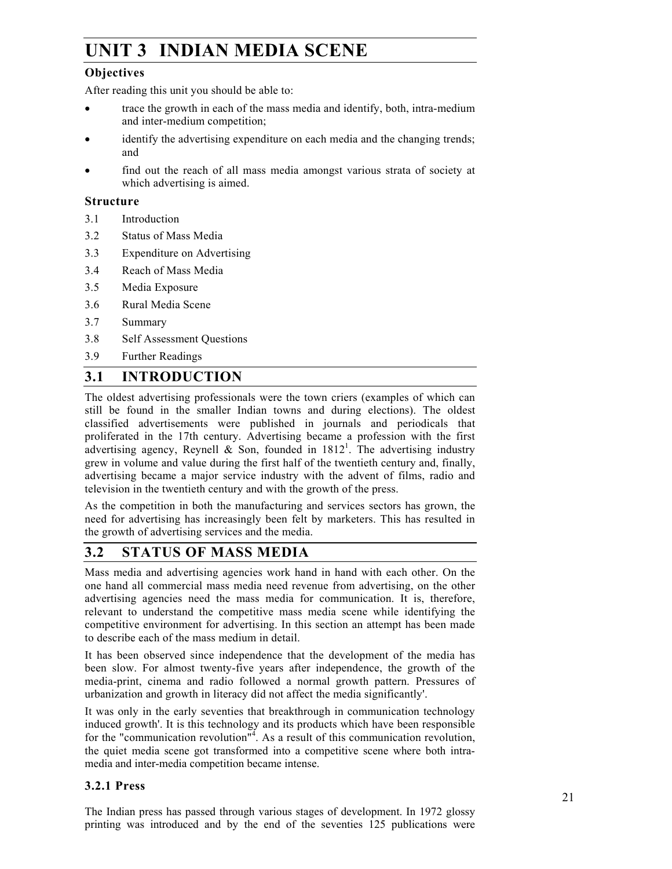## Indian Media Scene **UNIT 3 INDIAN MEDIA SCENE**

## **Objectives**

After reading this unit you should be able to:

- trace the growth in each of the mass media and identify, both, intra-medium and inter-medium competition;
- identify the advertising expenditure on each media and the changing trends; and
- find out the reach of all mass media amongst various strata of society at which advertising is aimed.

#### **Structure**

- 3.1 Introduction
- 3.2 Status of Mass Media
- 3.3 Expenditure on Advertising
- 3.4 Reach of Mass Media
- 3.5 Media Exposure
- 3.6 Rural Media Scene
- 3.7 Summary
- 3.8 Self Assessment Questions
- 3.9 Further Readings

## **3.1 INTRODUCTION**

The oldest advertising professionals were the town criers (examples of which can still be found in the smaller Indian towns and during elections). The oldest classified advertisements were published in journals and periodicals that proliferated in the 17th century. Advertising became a profession with the first advertising agency, Reynell & Son, founded in  $1812<sup>1</sup>$ . The advertising industry grew in volume and value during the first half of the twentieth century and, finally, advertising became a major service industry with the advent of films, radio and television in the twentieth century and with the growth of the press.

As the competition in both the manufacturing and services sectors has grown, the need for advertising has increasingly been felt by marketers. This has resulted in the growth of advertising services and the media.

## **3.2 STATUS OF MASS MEDIA**

Mass media and advertising agencies work hand in hand with each other. On the one hand all commercial mass media need revenue from advertising, on the other advertising agencies need the mass media for communication. It is, therefore, relevant to understand the competitive mass media scene while identifying the competitive environment for advertising. In this section an attempt has been made to describe each of the mass medium in detail.

It has been observed since independence that the development of the media has been slow. For almost twenty-five years after independence, the growth of the media-print, cinema and radio followed a normal growth pattern. Pressures of urbanization and growth in literacy did not affect the media significantly'.

It was only in the early seventies that breakthrough in communication technology induced growth'. It is this technology and its products which have been responsible for the "communication revolution"<sup>4</sup>. As a result of this communication revolution, the quiet media scene got transformed into a competitive scene where both intramedia and inter-media competition became intense.

## **3.2.1 Press**

The Indian press has passed through various stages of development. In 1972 glossy printing was introduced and by the end of the seventies 125 publications were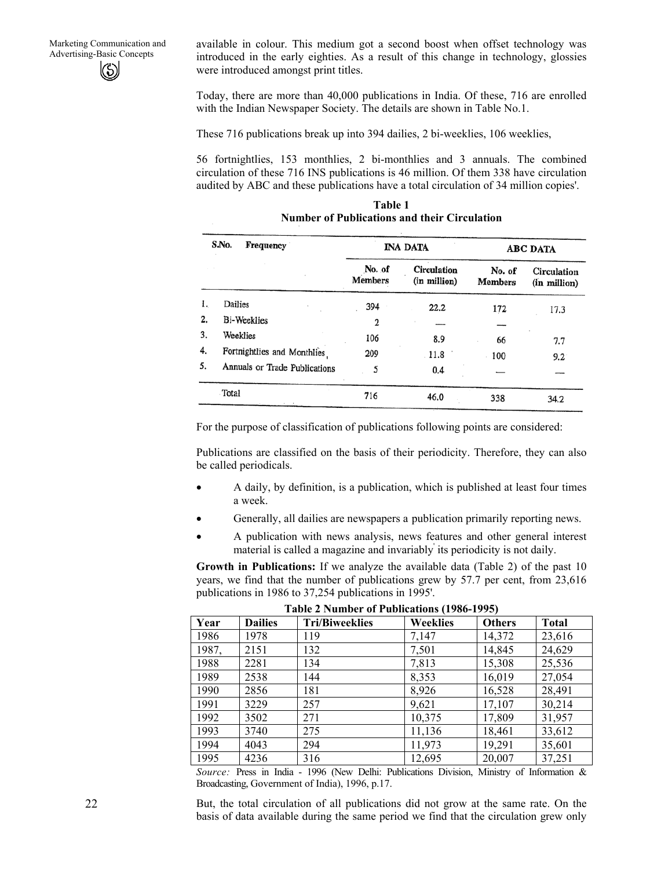available in colour. This medium got a second boost when offset technology was introduced in the early eighties. As a result of this change in technology, glossies were introduced amongst print titles.

Today, there are more than 40,000 publications in India. Of these, 716 are enrolled with the Indian Newspaper Society. The details are shown in Table No.1.

These 716 publications break up into 394 dailies, 2 bi-weeklies, 106 weeklies,

56 fortnightlies, 153 monthlies, 2 bi-monthlies and 3 annuals. The combined circulation of these 716 INS publications is 46 million. Of them 338 have circulation audited by ABC and these publications have a total circulation of 34 million copies'.

|    | S.No.<br>Frequency            |                          | <b>INA DATA</b>                    |                          | <b>ABC DATA</b>             |
|----|-------------------------------|--------------------------|------------------------------------|--------------------------|-----------------------------|
|    |                               | No. of<br><b>Members</b> | <b>Circulation</b><br>(in million) | No. of<br><b>Members</b> | Circulation<br>(in million) |
| ı. | Dailies                       | 394                      | 22.2                               | 172                      | 17.3                        |
| 2. | <b>Bi-Weeklies</b>            | 2                        |                                    |                          |                             |
| 3. | Weeklies                      | 106                      | 8.9                                | 66                       | 7.7                         |
| 4. | Fortnightlies and Monthlies   | 209                      | 11.8                               | 100                      | $9.2^{\circ}$               |
| 5. | Annuals or Trade Publications | 5                        | 0.4                                |                          |                             |
|    | Total                         | 716                      | 46.0                               | 338                      | 34.2                        |

**Table 1 Number of Publications and their Circulation** 

For the purpose of classification of publications following points are considered:

Publications are classified on the basis of their periodicity. Therefore, they can also be called periodicals.

- A daily, by definition, is a publication, which is published at least four times a week.
- Generally, all dailies are newspapers a publication primarily reporting news.
- A publication with news analysis, news features and other general interest material is called a magazine and invariably' its periodicity is not daily.

**Growth in Publications:** If we analyze the available data (Table 2) of the past 10 years, we find that the number of publications grew by 57.7 per cent, from 23,616 publications in 1986 to 37,254 publications in 1995'.

| Year  | <b>Dailies</b> | <b>Tri/Biweeklies</b> | Weeklies | <b>Others</b> | <b>Total</b> |  |
|-------|----------------|-----------------------|----------|---------------|--------------|--|
| 1986  | 1978           | 119                   | 7,147    | 14,372        | 23,616       |  |
| 1987, | 2151           | 132                   | 7,501    | 14,845        | 24,629       |  |
| 1988  | 2281           | 134                   | 7,813    | 15,308        | 25,536       |  |
| 1989  | 2538           | 144                   | 8,353    | 16,019        | 27,054       |  |
| 1990  | 2856           | 181                   | 8,926    | 16,528        | 28,491       |  |
| 1991  | 3229           | 257                   | 9,621    | 17,107        | 30,214       |  |
| 1992  | 3502           | 271                   | 10,375   | 17,809        | 31,957       |  |
| 1993  | 3740           | 275                   | 11,136   | 18,461        | 33,612       |  |
| 1994  | 4043           | 294                   | 11,973   | 19,291        | 35,601       |  |
| 1995  | 4236           | 316                   | 12,695   | 20,007        | 37,251       |  |

**Table 2 Number of Publications (1986-1995)** 

*Source:* Press in India - 1996 (New Delhi: Publications Division, Ministry of Information & Broadcasting, Government of India), 1996, p.17.

But, the total circulation of all publications did not grow at the same rate. On the basis of data available during the same period we find that the circulation grew only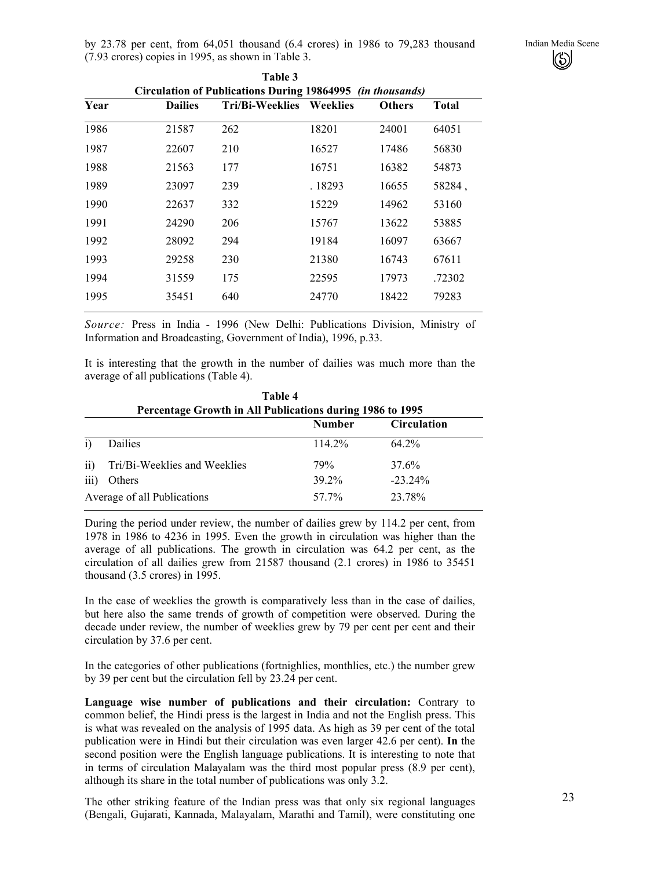by 23.78 per cent, from 64,051 thousand (6.4 crores) in 1986 to 79,283 thousand Indian Media Scene (7.93 crores) copies in 1995, as shown in Table 3. **Table 3** 

|      |                                                            | 1 apie 3               |          |               |              |  |  |  |
|------|------------------------------------------------------------|------------------------|----------|---------------|--------------|--|--|--|
|      | Circulation of Publications During 19864995 (in thousands) |                        |          |               |              |  |  |  |
| Year | <b>Dailies</b>                                             | <b>Tri/Bi-Weeklies</b> | Weeklies | <b>Others</b> | <b>Total</b> |  |  |  |
| 1986 | 21587                                                      | 262                    | 18201    | 24001         | 64051        |  |  |  |
| 1987 | 22607                                                      | 210                    | 16527    | 17486         | 56830        |  |  |  |
| 1988 | 21563                                                      | 177                    | 16751    | 16382         | 54873        |  |  |  |
| 1989 | 23097                                                      | 239                    | . 18293  | 16655         | 58284,       |  |  |  |
| 1990 | 22637                                                      | 332                    | 15229    | 14962         | 53160        |  |  |  |
| 1991 | 24290                                                      | 206                    | 15767    | 13622         | 53885        |  |  |  |
| 1992 | 28092                                                      | 294                    | 19184    | 16097         | 63667        |  |  |  |
| 1993 | 29258                                                      | 230                    | 21380    | 16743         | 67611        |  |  |  |
| 1994 | 31559                                                      | 175                    | 22595    | 17973         | .72302       |  |  |  |
| 1995 | 35451                                                      | 640                    | 24770    | 18422         | 79283        |  |  |  |
|      |                                                            |                        |          |               |              |  |  |  |

*Source:* Press in India - 1996 (New Delhi: Publications Division, Ministry of Information and Broadcasting, Government of India), 1996, p.33.

It is interesting that the growth in the number of dailies was much more than the average of all publications (Table 4).

|                  | Percentage Growth in All Publications during 1986 to 1995 |               |                    |  |  |  |  |  |
|------------------|-----------------------------------------------------------|---------------|--------------------|--|--|--|--|--|
|                  |                                                           | <b>Number</b> | <b>Circulation</b> |  |  |  |  |  |
| i)               | <b>Dailies</b>                                            | 114.2%        | 64 2%              |  |  |  |  |  |
| $\overline{ii}$  | Tri/Bi-Weeklies and Weeklies                              | 79%           | 37.6%              |  |  |  |  |  |
| $\overline{iii}$ | Others                                                    | 39.2%         | $-23.24\%$         |  |  |  |  |  |
|                  | Average of all Publications                               | 57.7%         | 23.78%             |  |  |  |  |  |

**Table 4** 

During the period under review, the number of dailies grew by 114.2 per cent, from 1978 in 1986 to 4236 in 1995. Even the growth in circulation was higher than the average of all publications. The growth in circulation was 64.2 per cent, as the circulation of all dailies grew from 21587 thousand (2.1 crores) in 1986 to 35451 thousand (3.5 crores) in 1995.

In the case of weeklies the growth is comparatively less than in the case of dailies, but here also the same trends of growth of competition were observed. During the decade under review, the number of weeklies grew by 79 per cent per cent and their circulation by 37.6 per cent.

In the categories of other publications (fortnighlies, monthlies, etc.) the number grew by 39 per cent but the circulation fell by 23.24 per cent.

**Language wise number of publications and their circulation:** Contrary to common belief, the Hindi press is the largest in India and not the English press. This is what was revealed on the analysis of 1995 data. As high as 39 per cent of the total publication were in Hindi but their circulation was even larger 42.6 per cent). **In** the second position were the English language publications. It is interesting to note that in terms of circulation Malayalam was the third most popular press (8.9 per cent), although its share in the total number of publications was only 3.2.

The other striking feature of the Indian press was that only six regional languages (Bengali, Gujarati, Kannada, Malayalam, Marathi and Tamil), were constituting one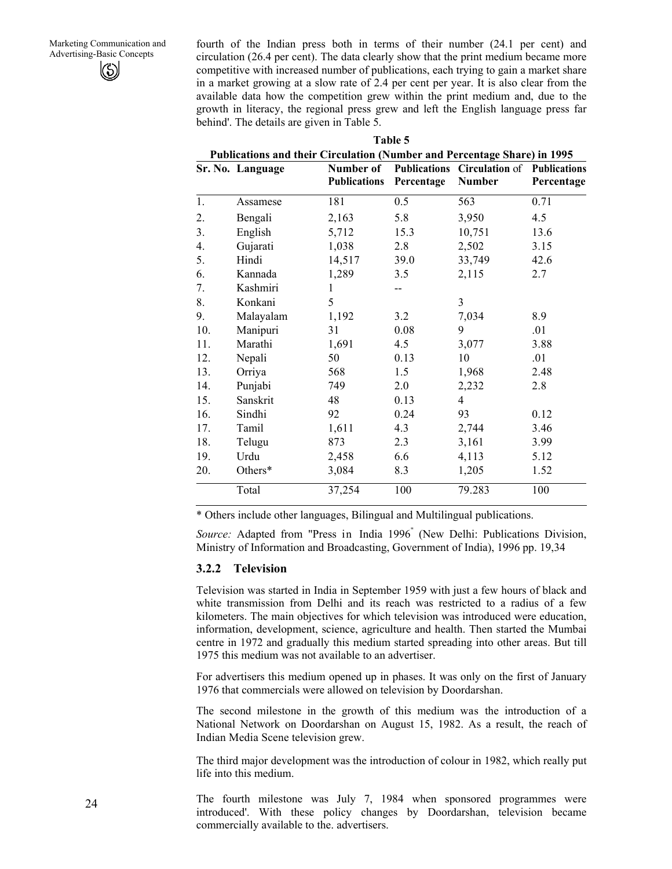fourth of the Indian press both in terms of their number (24.1 per cent) and circulation (26.4 per cent). The data clearly show that the print medium became more competitive with increased number of publications, each trying to gain a market share in a market growing at a slow rate of 2.4 per cent per year. It is also clear from the available data how the competition grew within the print medium and, due to the growth in literacy, the regional press grew and left the English language press far behind'. The details are given in Table 5.

| Publications and their Circulation (Number and Percentage Share) in 1995 |                  |                                  |            |                                                           |            |  |  |
|--------------------------------------------------------------------------|------------------|----------------------------------|------------|-----------------------------------------------------------|------------|--|--|
|                                                                          | Sr. No. Language | Number of<br><b>Publications</b> | Percentage | Publications Circulation of Publications<br><b>Number</b> | Percentage |  |  |
| 1.                                                                       | Assamese         | 181                              | 0.5        | 563                                                       | 0.71       |  |  |
| 2.                                                                       | Bengali          | 2,163                            | 5.8        | 3,950                                                     | 4.5        |  |  |
| 3 <sub>1</sub>                                                           | English          | 5,712                            | 15.3       | 10,751                                                    | 13.6       |  |  |
| 4.                                                                       | Gujarati         | 1,038                            | 2.8        | 2,502                                                     | 3.15       |  |  |
| 5.                                                                       | Hindi            | 14,517                           | 39.0       | 33,749                                                    | 42.6       |  |  |
| 6.                                                                       | Kannada          | 1,289                            | 3.5        | 2,115                                                     | 2.7        |  |  |
| 7.                                                                       | Kashmiri         | 1                                |            |                                                           |            |  |  |
| 8.                                                                       | Konkani          | 5                                |            | 3                                                         |            |  |  |
| 9.                                                                       | Malayalam        | 1,192                            | 3.2        | 7,034                                                     | 8.9        |  |  |
| 10.                                                                      | Manipuri         | 31                               | 0.08       | 9                                                         | .01        |  |  |
| 11.                                                                      | Marathi          | 1,691                            | 4.5        | 3,077                                                     | 3.88       |  |  |
| 12.                                                                      | Nepali           | 50                               | 0.13       | 10                                                        | .01        |  |  |
| 13.                                                                      | Orriya           | 568                              | 1.5        | 1,968                                                     | 2.48       |  |  |
| 14.                                                                      | Punjabi          | 749                              | 2.0        | 2,232                                                     | 2.8        |  |  |
| 15.                                                                      | Sanskrit         | 48                               | 0.13       | 4                                                         |            |  |  |
| 16.                                                                      | Sindhi           | 92                               | 0.24       | 93                                                        | 0.12       |  |  |
| 17.                                                                      | Tamil            | 1,611                            | 4.3        | 2,744                                                     | 3.46       |  |  |
| 18.                                                                      | Telugu           | 873                              | 2.3        | 3,161                                                     | 3.99       |  |  |
| 19.                                                                      | Urdu             | 2,458                            | 6.6        | 4,113                                                     | 5.12       |  |  |
| 20.                                                                      | Others*          | 3,084                            | 8.3        | 1,205                                                     | 1.52       |  |  |
|                                                                          | Total            | 37,254                           | 100        | 79.283                                                    | 100        |  |  |
|                                                                          |                  |                                  |            |                                                           |            |  |  |

**Table 5** 

\* Others include other languages, Bilingual and Multilingual publications.

*Source:* Adapted from "Press in India 1996" (New Delhi: Publications Division, Ministry of Information and Broadcasting, Government of India), 1996 pp. 19,34

#### **3.2.2 Television**

Television was started in India in September 1959 with just a few hours of black and white transmission from Delhi and its reach was restricted to a radius of a few kilometers. The main objectives for which television was introduced were education, information, development, science, agriculture and health. Then started the Mumbai centre in 1972 and gradually this medium started spreading into other areas. But till 1975 this medium was not available to an advertiser.

For advertisers this medium opened up in phases. It was only on the first of January 1976 that commercials were allowed on television by Doordarshan.

The second milestone in the growth of this medium was the introduction of a National Network on Doordarshan on August 15, 1982. As a result, the reach of Indian Media Scene television grew.

The third major development was the introduction of colour in 1982, which really put life into this medium.

The fourth milestone was July 7, 1984 when sponsored programmes were introduced'. With these policy changes by Doordarshan, television became commercially available to the. advertisers.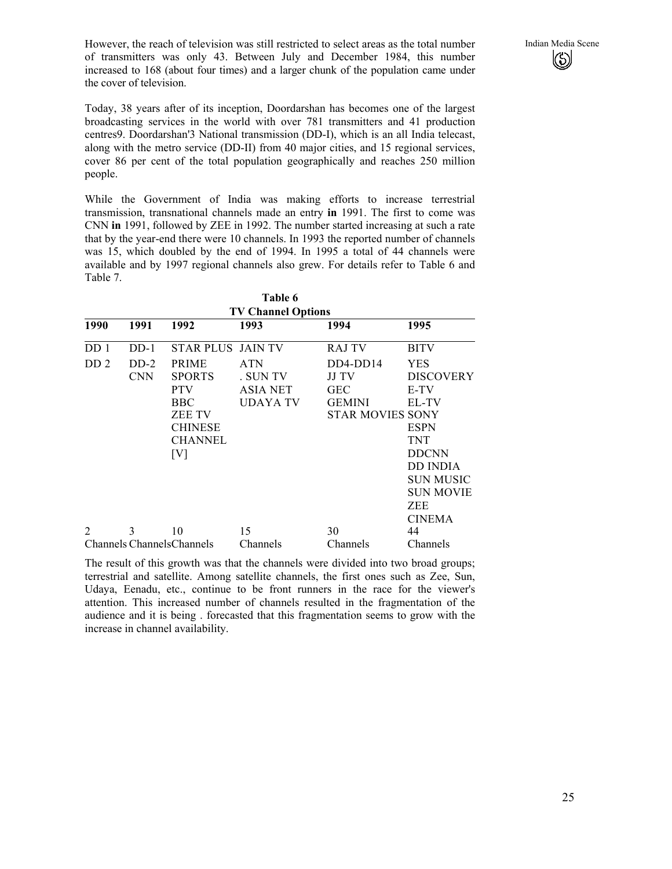However, the reach of television was still restricted to select areas as the total number Indian Media Scene of transmitters was only 43. Between July and December 1984, this number increased to 168 (about four times) and a larger chunk of the population came under the cover of television.

Today, 38 years after of its inception, Doordarshan has becomes one of the largest broadcasting services in the world with over 781 transmitters and 41 production centres9. Doordarshan'3 National transmission (DD-I), which is an all India telecast, along with the metro service (DD-II) from 40 major cities, and 15 regional services, cover 86 per cent of the total population geographically and reaches 250 million people.

While the Government of India was making efforts to increase terrestrial transmission, transnational channels made an entry **in** 1991. The first to come was CNN **in** 1991, followed by ZEE in 1992. The number started increasing at such a rate that by the year-end there were 10 channels. In 1993 the reported number of channels was 15, which doubled by the end of 1994. In 1995 a total of 44 channels were available and by 1997 regional channels also grew. For details refer to Table 6 and Table 7.

|                 | Table 6<br><b>TV Channel Options</b> |                                                                                                                       |                                                       |                                                                               |                                                                                                                                                                       |  |  |  |
|-----------------|--------------------------------------|-----------------------------------------------------------------------------------------------------------------------|-------------------------------------------------------|-------------------------------------------------------------------------------|-----------------------------------------------------------------------------------------------------------------------------------------------------------------------|--|--|--|
| 1990            | 1991                                 | 1992                                                                                                                  | 1993                                                  | 1994                                                                          | 1995                                                                                                                                                                  |  |  |  |
| DD <sub>1</sub> | $DD-1$                               | <b>STAR PLUS JAIN TV</b>                                                                                              |                                                       | <b>RAJ TV</b>                                                                 | <b>BITV</b>                                                                                                                                                           |  |  |  |
| DD <sub>2</sub> | $DD-2$<br><b>CNN</b>                 | <b>PRIME</b><br><b>SPORTS</b><br><b>PTV</b><br><b>BBC</b><br><b>ZEE TV</b><br><b>CHINESE</b><br><b>CHANNEL</b><br>[V] | <b>ATN</b><br>. SUN TV<br><b>ASIA NET</b><br>UDAYA TV | $DD4-DD14$<br>JJ TV<br><b>GEC</b><br><b>GEMINI</b><br><b>STAR MOVIES SONY</b> | <b>YES</b><br><b>DISCOVERY</b><br>E-TV<br>EL-TV<br><b>ESPN</b><br><b>TNT</b><br><b>DDCNN</b><br><b>DD INDIA</b><br><b>SUN MUSIC</b><br><b>SUN MOVIE</b><br><b>ZEE</b> |  |  |  |
| $\overline{2}$  | 3                                    | 10                                                                                                                    | 15                                                    | 30                                                                            | <b>CINEMA</b><br>44                                                                                                                                                   |  |  |  |
|                 |                                      | <b>Channels Channels Channels</b>                                                                                     | Channels                                              | Channels                                                                      | Channels                                                                                                                                                              |  |  |  |

The result of this growth was that the channels were divided into two broad groups; terrestrial and satellite. Among satellite channels, the first ones such as Zee, Sun, Udaya, Eenadu, etc., continue to be front runners in the race for the viewer's attention. This increased number of channels resulted in the fragmentation of the audience and it is being . forecasted that this fragmentation seems to grow with the increase in channel availability.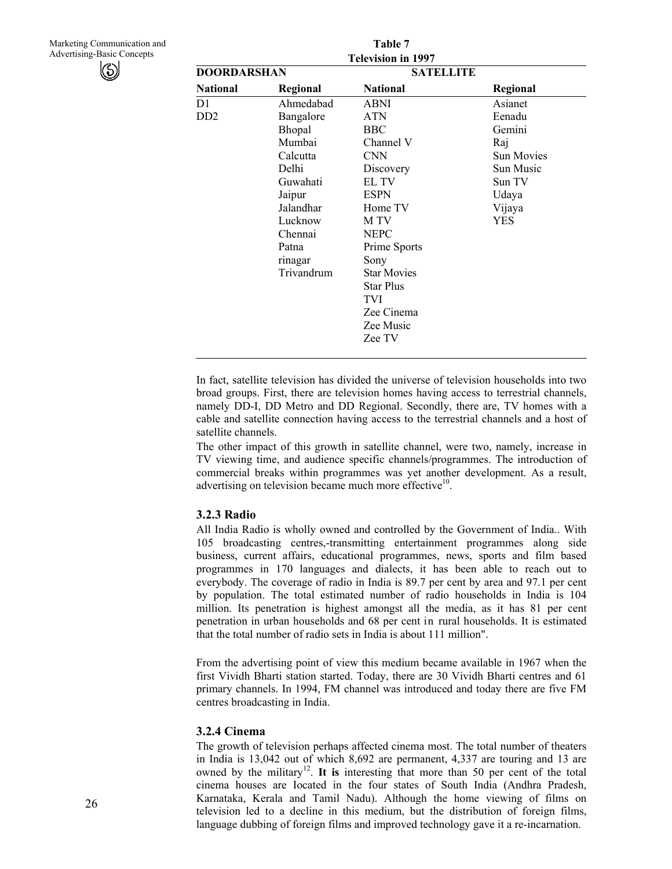Marketing Communication and Advertising-Basic Concepts



|                             |            | Table 7                   |                   |
|-----------------------------|------------|---------------------------|-------------------|
|                             |            | <b>Television in 1997</b> |                   |
| <b>DOORDARSHAN</b>          |            | <b>SATELLITE</b>          |                   |
| <b>National</b>             | Regional   | <b>National</b>           | Regional          |
| D1                          | Ahmedabad  | ABNI                      | Asianet           |
| D <sub>D</sub> <sub>2</sub> | Bangalore  | <b>ATN</b>                | Eenadu            |
|                             | Bhopal     | BBC                       | Gemini            |
|                             | Mumbai     | Channel V                 | Raj               |
|                             | Calcutta   | <b>CNN</b>                | <b>Sun Movies</b> |
|                             | Delhi      | Discovery                 | Sun Music         |
|                             | Guwahati   | EL TV                     | Sun TV            |
|                             | Jaipur     | <b>ESPN</b>               | Udaya             |
|                             | Jalandhar  | Home TV                   | Vijaya            |
|                             | Lucknow    | M TV                      | <b>YES</b>        |
|                             | Chennai    | <b>NEPC</b>               |                   |
|                             | Patna      | Prime Sports              |                   |
|                             | rinagar    | Sony                      |                   |
|                             | Trivandrum | <b>Star Movies</b>        |                   |
|                             |            | <b>Star Plus</b>          |                   |
|                             |            | TVI                       |                   |
|                             |            | Zee Cinema                |                   |
|                             |            | Zee Music                 |                   |
|                             |            | Zee TV                    |                   |

In fact, satellite television has divided the universe of television households into two broad groups. First, there are television homes having access to terrestrial channels, namely DD-I, DD Metro and DD Regional. Secondly, there are, TV homes with a cable and satellite connection having access to the terrestrial channels and a host of satellite channels.

The other impact of this growth in satellite channel, were two, namely, increase in TV viewing time, and audience specific channels/programmes. The introduction of commercial breaks within programmes was yet another development. As a result, advertising on television became much more effective<sup>10</sup>.

#### **3.2.3 Radio**

All India Radio is wholly owned and controlled by the Government of India.. With 105 broadcasting centres,-transmitting entertainment programmes along side business, current affairs, educational programmes, news, sports and film based programmes in 170 languages and dialects, it has been able to reach out to everybody. The coverage of radio in India is 89.7 per cent by area and 97.1 per cent by population. The total estimated number of radio households in India is 104 million. Its penetration is highest amongst all the media, as it has 81 per cent penetration in urban households and 68 per cent in rural households. It is estimated that the total number of radio sets in India is about 111 million".

From the advertising point of view this medium became available in 1967 when the first Vividh Bharti station started. Today, there are 30 Vividh Bharti centres and 61 primary channels. In 1994, FM channel was introduced and today there are five FM centres broadcasting in India.

#### **3.2.4 Cinema**

The growth of television perhaps affected cinema most. The total number of theaters in India is 13,042 out of which 8,692 are permanent, 4,337 are touring and 13 are owned by the military<sup>12</sup>. It is interesting that more than 50 per cent of the total cinema houses are Iocated in the four states of South India (Andhra Pradesh, Karnataka, Kerala and Tamil Nadu). Although the home viewing of films on television led to a decline in this medium, but the distribution of foreign films, language dubbing of foreign films and improved technology gave it a re-incarnation.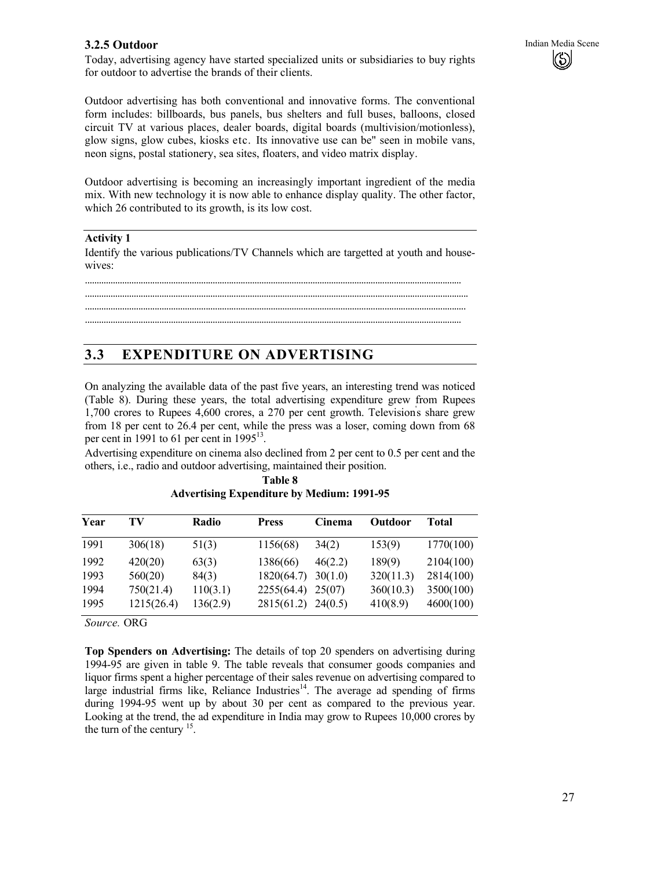#### **3.2.5 Outdoor** Indian Media Scene

Today, advertising agency have started specialized units or subsidiaries to buy rights for outdoor to advertise the brands of their clients.

Outdoor advertising has both conventional and innovative forms. The conventional form includes: billboards, bus panels, bus shelters and full buses, balloons, closed circuit TV at various places, dealer boards, digital boards (multivision/motionless), glow signs, glow cubes, kiosks etc. Its innovative use can be" seen in mobile vans, neon signs, postal stationery, sea sites, floaters, and video matrix display.

Outdoor advertising is becoming an increasingly important ingredient of the media mix. With new technology it is now able to enhance display quality. The other factor, which 26 contributed to its growth, is its low cost.

#### **Activity 1**

Identify the various publications/TV Channels which are targetted at youth and housewives:

.................................................................................................................................................................. ..................................................................................................................................................................... .................................................................................................................................................................... ..................................................................................................................................................................

## **3.3 EXPENDITURE ON ADVERTISING**

On analyzing the available data of the past five years, an interesting trend was noticed (Table 8). During these years, the total advertising expenditure grew from Rupees 1,700 crores to Rupees 4,600 crores, a 270 per cent growth. Television' s share grew from 18 per cent to 26.4 per cent, while the press was a loser, coming down from 68 per cent in 1991 to 61 per cent in  $1995^{13}$ .

Advertising expenditure on cinema also declined from 2 per cent to 0.5 per cent and the others, i.e., radio and outdoor advertising, maintained their position.

| TV         | <b>Radio</b> | <b>Press</b> | Cinema  | <b>Outdoor</b> | Total     |
|------------|--------------|--------------|---------|----------------|-----------|
| 306(18)    | 51(3)        | 1156(68)     | 34(2)   | 153(9)         | 1770(100) |
| 420(20)    | 63(3)        | 1386(66)     | 46(2.2) | 189(9)         | 2104(100) |
| 560(20)    | 84(3)        | 1820(64.7)   | 30(1.0) | 320(11.3)      | 2814(100) |
| 750(21.4)  | 110(3.1)     | 2255(64.4)   | 25(07)  | 360(10.3)      | 3500(100) |
| 1215(26.4) | 136(2.9)     | 2815(61.2)   |         | 410(8.9)       | 4600(100) |
|            |              |              |         | 24(0.5)        |           |

**Table 8 Advertising Expenditure by Medium: 1991-95** 

*Source.* ORG

**Top Spenders on Advertising:** The details of top 20 spenders on advertising during 1994-95 are given in table 9. The table reveals that consumer goods companies and liquor firms spent a higher percentage of their sales revenue on advertising compared to large industrial firms like, Reliance Industries<sup>14</sup>. The average ad spending of firms during 1994-95 went up by about 30 per cent as compared to the previous year. Looking at the trend, the ad expenditure in India may grow to Rupees 10,000 crores by the turn of the century  $15$ .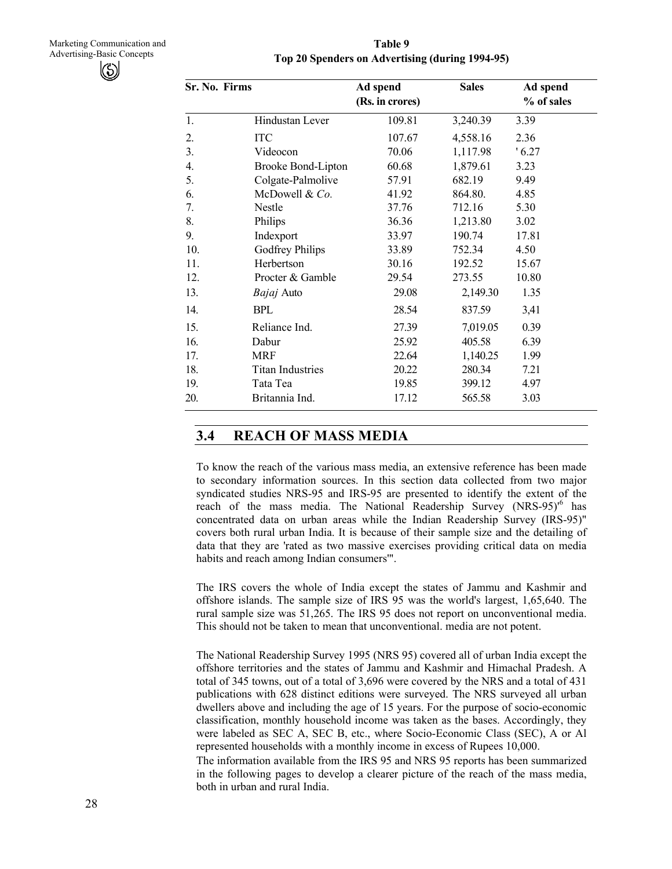**Table 9 Top 20 Spenders on Advertising (during 1994-95)** 

| Sr. No. Firms |                         | Ad spend<br>(Rs. in crores) | <b>Sales</b> | Ad spend<br>% of sales |
|---------------|-------------------------|-----------------------------|--------------|------------------------|
| 1.            | Hindustan Lever         | 109.81                      | 3,240.39     | 3.39                   |
| 2.            | <b>ITC</b>              | 107.67                      | 4,558.16     | 2.36                   |
| 3.            | Videocon                | 70.06                       | 1,117.98     | '6.27                  |
| 4.            | Brooke Bond-Lipton      | 60.68                       | 1,879.61     | 3.23                   |
| 5.            | Colgate-Palmolive       | 57.91                       | 682.19       | 9.49                   |
| 6.            | McDowell & Co.          | 41.92                       | 864.80.      | 4.85                   |
| 7.            | Nestle                  | 37.76                       | 712.16       | 5.30                   |
| 8.            | Philips                 | 36.36                       | 1,213.80     | 3.02                   |
| 9.            | Indexport               | 33.97                       | 190.74       | 17.81                  |
| 10.           | Godfrey Philips         | 33.89                       | 752.34       | 4.50                   |
| 11.           | Herbertson              | 30.16                       | 192.52       | 15.67                  |
| 12.           | Procter & Gamble        | 29.54                       | 273.55       | 10.80                  |
| 13.           | <i>Bajaj</i> Auto       | 29.08                       | 2,149.30     | 1.35                   |
| 14.           | <b>BPL</b>              | 28.54                       | 837.59       | 3,41                   |
| 15.           | Reliance Ind.           | 27.39                       | 7,019.05     | 0.39                   |
| 16.           | Dabur                   | 25.92                       | 405.58       | 6.39                   |
| 17.           | <b>MRF</b>              | 22.64                       | 1,140.25     | 1.99                   |
| 18.           | <b>Titan Industries</b> | 20.22                       | 280.34       | 7.21                   |
| 19.           | Tata Tea                | 19.85                       | 399.12       | 4.97                   |
| 20.           | Britannia Ind.          | 17.12                       | 565.58       | 3.03                   |

## **3.4 REACH OF MASS MEDIA**

To know the reach of the various mass media, an extensive reference has been made to secondary information sources. In this section data collected from two major syndicated studies NRS-95 and IRS-95 are presented to identify the extent of the reach of the mass media. The National Readership Survey (NRS-95)<sup>6</sup> has concentrated data on urban areas while the Indian Readership Survey (IRS-95)" covers both rural urban India. It is because of their sample size and the detailing of data that they are 'rated as two massive exercises providing critical data on media habits and reach among Indian consumers'".

The IRS covers the whole of India except the states of Jammu and Kashmir and offshore islands. The sample size of IRS 95 was the world's largest, 1,65,640. The rural sample size was 51,265. The IRS 95 does not report on unconventional media. This should not be taken to mean that unconventional. media are not potent.

The National Readership Survey 1995 (NRS 95) covered all of urban India except the offshore territories and the states of Jammu and Kashmir and Himachal Pradesh. A total of 345 towns, out of a total of 3,696 were covered by the NRS and a total of 431 publications with 628 distinct editions were surveyed. The NRS surveyed all urban dwellers above and including the age of 15 years. For the purpose of socio-economic classification, monthly household income was taken as the bases. Accordingly, they were labeled as SEC A, SEC B, etc., where Socio-Economic Class (SEC), A or Al represented households with a monthly income in excess of Rupees 10,000. The information available from the IRS 95 and NRS 95 reports has been summarized in the following pages to develop a clearer picture of the reach of the mass media, both in urban and rural India.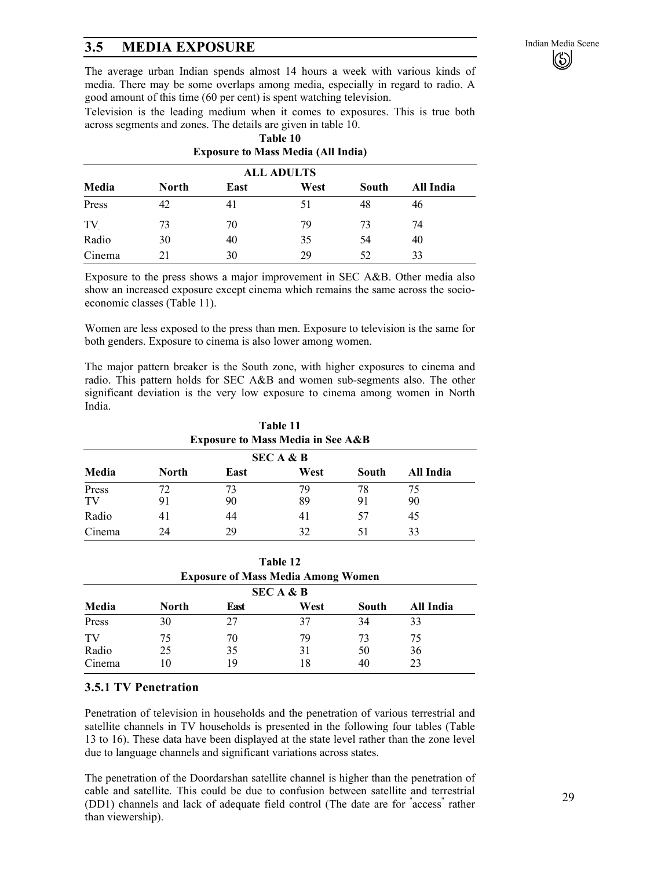# **3.5 MEDIA EXPOSURE** Indian Media Scene **16.1999** Indian Media Scene

The average urban Indian spends almost 14 hours a week with various kinds of media. There may be some overlaps among media, especially in regard to radio. A good amount of this time (60 per cent) is spent watching television.

Television is the leading medium when it comes to exposures. This is true both across segments and zones. The details are given in table 10.

|                                                             | <b>ALL ADULTS</b> |    |    |    |    |  |  |  |
|-------------------------------------------------------------|-------------------|----|----|----|----|--|--|--|
| Media<br><b>North</b><br>West<br>South<br>East<br>All India |                   |    |    |    |    |  |  |  |
| Press                                                       | 42                | 41 | 51 | 48 | 46 |  |  |  |
| TV                                                          | 73                | 70 | 79 | 73 | 74 |  |  |  |
| Radio                                                       | 30                | 40 | 35 | 54 | 40 |  |  |  |
| Cinema                                                      | 21                | 30 | 29 | 52 | 33 |  |  |  |

#### **Table 10 Exposure to Mass Media (All India)**

Exposure to the press shows a major improvement in SEC A&B. Other media also show an increased exposure except cinema which remains the same across the socioeconomic classes (Table 11).

Women are less exposed to the press than men. Exposure to television is the same for both genders. Exposure to cinema is also lower among women.

The major pattern breaker is the South zone, with higher exposures to cinema and radio. This pattern holds for SEC A&B and women sub-segments also. The other significant deviation is the very low exposure to cinema among women in North India.

|             | Table 11<br><b>Exposure to Mass Media in See A&amp;B</b> |          |          |          |           |  |  |  |  |
|-------------|----------------------------------------------------------|----------|----------|----------|-----------|--|--|--|--|
|             | <b>SECA &amp; B</b>                                      |          |          |          |           |  |  |  |  |
| Media       | North                                                    | East     | West     | South    | All India |  |  |  |  |
| Press<br>TV | 72<br>91                                                 | 73<br>90 | 79<br>89 | 78<br>91 | 75<br>90  |  |  |  |  |
| Radio       | 41                                                       | 44       | 41       | 57       | 45        |  |  |  |  |
| Cinema      | 24                                                       | 29       | 32       | 51       | 33        |  |  |  |  |

| Table 12<br><b>Exposure of Mass Media Among Women</b> |              |      |      |       |           |  |  |
|-------------------------------------------------------|--------------|------|------|-------|-----------|--|--|
|                                                       |              |      |      |       |           |  |  |
| Media                                                 | <b>North</b> | East | West | South | All India |  |  |
| Press                                                 | 30           | 27   | 37   | 34    | 33        |  |  |
| TV                                                    | 75           | 70   | 79   | 73    | 75        |  |  |
| Radio                                                 | 25           | 35   | 31   | 50    | 36        |  |  |
| Cinema                                                | 10           | 19   | 18   | 40    | 23        |  |  |

#### **3.5.1 TV Penetration**

Penetration of television in households and the penetration of various terrestrial and satellite channels in TV households is presented in the following four tables (Table 13 to 16). These data have been displayed at the state level rather than the zone level due to language channels and significant variations across states.

The penetration of the Doordarshan satellite channel is higher than the penetration of cable and satellite. This could be due to confusion between satellite and terrestrial (DD1) channels and lack of adequate field control (The date are for " access" rather than viewership).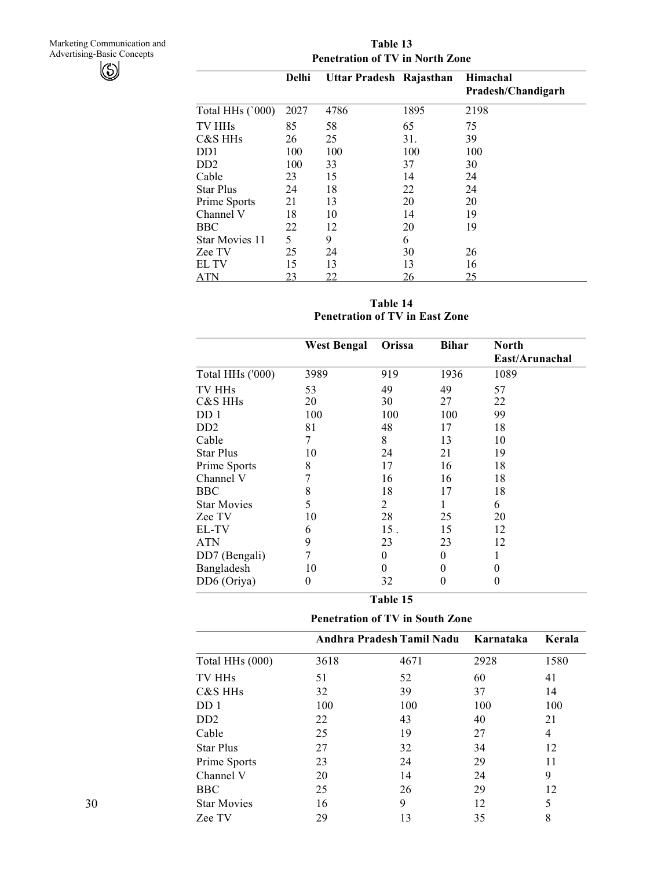**Table 13 Penetration of TV in North Zone** 

|                       | <b>Delhi</b> | Uttar Pradesh Rajasthan |      | Himachal<br>Pradesh/Chandigarh |
|-----------------------|--------------|-------------------------|------|--------------------------------|
| Total HHs (`000)      | 2027         | 4786                    | 1895 | 2198                           |
| TV HH <sub>s</sub>    | 85           | 58                      | 65   | 75                             |
| C&S HH <sub>s</sub>   | 26           | 25                      | 31.  | 39                             |
| DD <sub>1</sub>       | 100          | 100                     | 100  | 100                            |
| D <sub>D</sub>        | 100          | 33                      | 37   | 30                             |
| Cable                 | 23           | 15                      | 14   | 24                             |
| <b>Star Plus</b>      | 24           | 18                      | 22   | 24                             |
| Prime Sports          | 21           | 13                      | 20   | 20                             |
| Channel V             | 18           | 10                      | 14   | 19                             |
| <b>BBC</b>            | 22           | 12                      | 20   | 19                             |
| <b>Star Movies 11</b> | 5            | 9                       | 6    |                                |
| Zee TV                | 25           | 24                      | 30   | 26                             |
| EL TV                 | 15           | 13                      | 13   | 16                             |
| ATN                   | 23           | <u>22</u>               | 26   | 25                             |

**Table 14 Penetration of TV in East Zone** 

|                             | <b>West Bengal</b> | Orissa         | <b>Bihar</b> | <b>North</b>   |
|-----------------------------|--------------------|----------------|--------------|----------------|
|                             |                    |                |              | East/Arunachal |
| Total HHs ('000)            | 3989               | 919            | 1936         | 1089           |
| TV HH <sub>s</sub>          | 53                 | 49             | 49           | 57             |
| C&S HHs                     | 20                 | 30             | 27           | 22             |
| DD 1                        | 100                | 100            | 100          | 99             |
| D <sub>D</sub> <sub>2</sub> | 81                 | 48             | 17           | 18             |
| Cable                       | 7                  | 8              | 13           | 10             |
| <b>Star Plus</b>            | 10                 | 24             | 21           | 19             |
| Prime Sports                | 8                  | 17             | 16           | 18             |
| Channel V                   | 7                  | 16             | 16           | 18             |
| <b>BBC</b>                  | 8                  | 18             | 17           | 18             |
| <b>Star Movies</b>          | 5                  | 2              |              | 6              |
| Zee TV                      | 10                 | 28             | 25           | 20             |
| EL-TV                       | 6                  | 15.            | 15           | 12             |
| <b>ATN</b>                  | 9                  | 23             | 23           | 12             |
| DD7 (Bengali)               | 7                  | $\overline{0}$ | $\theta$     |                |
| Bangladesh                  | 10                 | $\theta$       | 0            | 0              |
| DD6 (Oriya)                 | $\theta$           | 32             | $\theta$     | 0              |

| 'able |  |
|-------|--|
|-------|--|

**Penetration of TV in South Zone** 

|                             |      | Andhra Pradesh Tamil Nadu Karnataka |      | Kerala |  |
|-----------------------------|------|-------------------------------------|------|--------|--|
| Total HHs (000)             | 3618 | 4671                                | 2928 | 1580   |  |
| TV HH <sub>s</sub>          | 51   | 52                                  | 60   | 41     |  |
| C&S HH <sub>s</sub>         | 32   | 39                                  | 37   | 14     |  |
| DD <sub>1</sub>             | 100  | 100                                 | 100  | 100    |  |
| D <sub>D</sub> <sub>2</sub> | 22   | 43                                  | 40   | 21     |  |
| Cable                       | 25   | 19                                  | 27   | 4      |  |
| <b>Star Plus</b>            | 27   | 32                                  | 34   | 12     |  |
| Prime Sports                | 23   | 24                                  | 29   | 11     |  |
| Channel V                   | 20   | 14                                  | 24   | 9      |  |
| <b>BBC</b>                  | 25   | 26                                  | 29   | 12     |  |
| <b>Star Movies</b>          | 16   | 9                                   | 12   | 5      |  |
| Zee TV                      | 29   | 13                                  | 35   | 8      |  |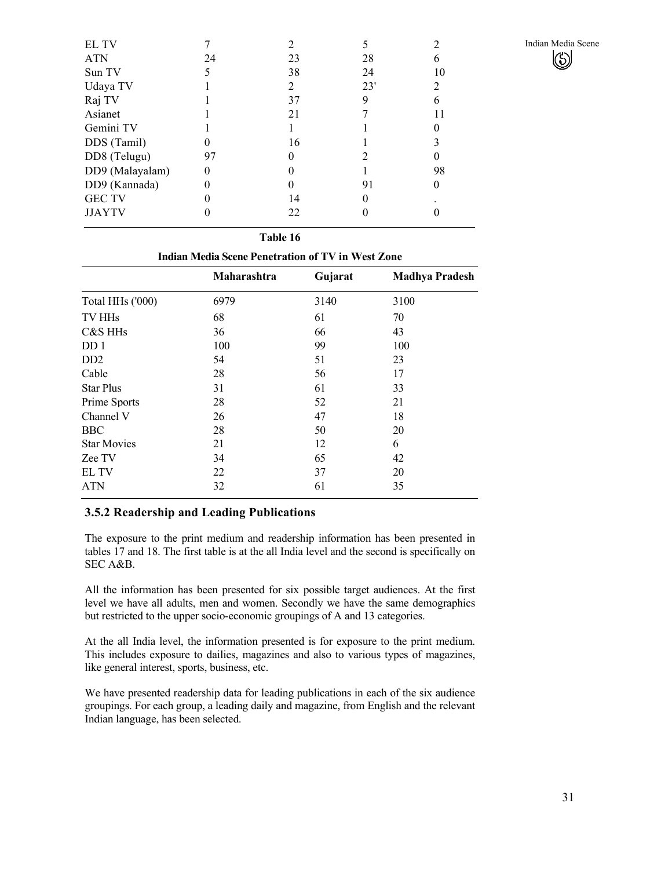| EL TV           |    |    |     |    |
|-----------------|----|----|-----|----|
| <b>ATN</b>      | 24 | 23 | 28  | 6  |
| Sun TV          |    | 38 | 24  | 10 |
| Udaya TV        |    | 2  | 23' |    |
| Raj TV          |    | 37 | 9   | 6  |
| Asianet         |    | 21 |     |    |
| Gemini TV       |    |    |     |    |
| DDS (Tamil)     |    | 16 |     |    |
| DD8 (Telugu)    | 97 | 0  |     | 0  |
| DD9 (Malayalam) |    |    |     | 98 |
| DD9 (Kannada)   |    |    | 91  |    |
| <b>GEC TV</b>   |    | 14 |     |    |
| <b>JJAYTV</b>   |    | 22 |     |    |
|                 |    |    |     |    |

|                                                          | Table 16    |         |                       |  |  |  |  |
|----------------------------------------------------------|-------------|---------|-----------------------|--|--|--|--|
| <b>Indian Media Scene Penetration of TV in West Zone</b> |             |         |                       |  |  |  |  |
|                                                          | Maharashtra | Gujarat | <b>Madhya Pradesh</b> |  |  |  |  |
| Total HHs ('000)                                         | 6979        | 3140    | 3100                  |  |  |  |  |
| TV HH <sub>s</sub>                                       | 68          | 61      | 70                    |  |  |  |  |
| C&S HH <sub>s</sub>                                      | 36          | 66      | 43                    |  |  |  |  |
| DD <sub>1</sub>                                          | 100         | 99      | 100                   |  |  |  |  |
| D <sub>D</sub>                                           | 54          | 51      | 23                    |  |  |  |  |
| Cable                                                    | 28          | 56      | 17                    |  |  |  |  |
| <b>Star Plus</b>                                         | 31          | 61      | 33                    |  |  |  |  |
| Prime Sports                                             | 28          | 52      | 21                    |  |  |  |  |
| Channel V                                                | 26          | 47      | 18                    |  |  |  |  |
| <b>BBC</b>                                               | 28          | 50      | 20                    |  |  |  |  |
| <b>Star Movies</b>                                       | 21          | 12      | 6                     |  |  |  |  |
| Zee TV                                                   | 34          | 65      | 42                    |  |  |  |  |
| EL TV                                                    | 22          | 37      | 20                    |  |  |  |  |
| <b>ATN</b>                                               | 32          | 61      | 35                    |  |  |  |  |

#### **3.5.2 Readership and Leading Publications**

The exposure to the print medium and readership information has been presented in tables 17 and 18. The first table is at the all India level and the second is specifically on SEC A&B.

All the information has been presented for six possible target audiences. At the first level we have all adults, men and women. Secondly we have the same demographics but restricted to the upper socio-economic groupings of A and 13 categories.

At the all India level, the information presented is for exposure to the print medium. This includes exposure to dailies, magazines and also to various types of magazines, like general interest, sports, business, etc.

We have presented readership data for leading publications in each of the six audience groupings. For each group, a leading daily and magazine, from English and the relevant Indian language, has been selected.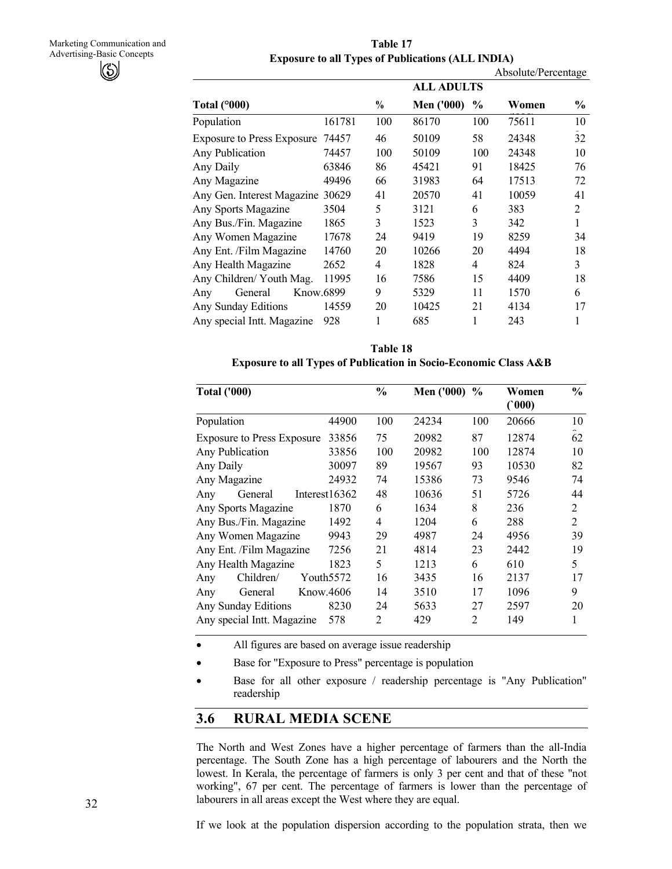**Table 17 Exposure to all Types of Publications (ALL INDIA)** 

|                                  |        |               |                   |      | Absolute/Percentage |                |
|----------------------------------|--------|---------------|-------------------|------|---------------------|----------------|
|                                  |        |               | <b>ALL ADULTS</b> |      |                     |                |
| Total $(^{\circ}000)$            |        | $\frac{0}{0}$ | <b>Men</b> ('000) | $\%$ | Women               | $\frac{0}{0}$  |
| Population                       | 161781 | 100           | 86170             | 100  | 75611               | 10             |
| Exposure to Press Exposure 74457 |        | 46            | 50109             | 58   | 24348               | 32             |
| Any Publication                  | 74457  | 100           | 50109             | 100  | 24348               | 10             |
| Any Daily                        | 63846  | 86            | 45421             | 91   | 18425               | 76             |
| Any Magazine                     | 49496  | 66            | 31983             | 64   | 17513               | 72             |
| Any Gen. Interest Magazine 30629 |        | 41            | 20570             | 41   | 10059               | 41             |
| Any Sports Magazine              | 3504   | 5             | 3121              | 6    | 383                 | $\overline{2}$ |
| Any Bus./Fin. Magazine           | 1865   | 3             | 1523              | 3    | 342                 | 1              |
| Any Women Magazine               | 17678  | 24            | 9419              | 19   | 8259                | 34             |
| Any Ent. /Film Magazine          | 14760  | 20            | 10266             | 20   | 4494                | 18             |
| Any Health Magazine              | 2652   | 4             | 1828              | 4    | 824                 | 3              |
| Any Children/ Youth Mag.         | 11995  | 16            | 7586              | 15   | 4409                | 18             |
| Know.6899<br>General<br>Any      |        | 9             | 5329              | 11   | 1570                | 6              |
| Any Sunday Editions              | 14559  | 20            | 10425             | 21   | 4134                | 17             |
| Any special Intt. Magazine       | 928    |               | 685               |      | 243                 | 1              |

**Table 18 Exposure to all Types of Publication in Socio-Economic Class A&B** 

| <b>Total ('000)</b>               |                       | $\frac{0}{0}$ | <b>Men ('000)</b> | $\frac{6}{9}$  | Women<br>(000) | $\frac{6}{10}$ |
|-----------------------------------|-----------------------|---------------|-------------------|----------------|----------------|----------------|
| Population                        | 44900                 | 100           | 24234             | 100            | 20666          | 10             |
| <b>Exposure to Press Exposure</b> | 33856                 | 75            | 20982             | 87             | 12874          | 62             |
| Any Publication                   | 33856                 | 100           | 20982             | 100            | 12874          | 10             |
| Any Daily                         | 30097                 | 89            | 19567             | 93             | 10530          | 82             |
| Any Magazine                      | 24932                 | 74            | 15386             | 73             | 9546           | 74             |
| General<br>Any                    | Interest16362         | 48            | 10636             | 51             | 5726           | 44             |
| Any Sports Magazine               | 1870                  | 6             | 1634              | 8              | 236            | 2              |
| Any Bus./Fin. Magazine            | 1492                  | 4             | 1204              | 6              | 288            | $\overline{2}$ |
| Any Women Magazine                | 9943                  | 29            | 4987              | 24             | 4956           | 39             |
| Any Ent. /Film Magazine           | 7256                  | 21            | 4814              | 23             | 2442           | 19             |
| Any Health Magazine               | 1823                  | 5             | 1213              | 6              | 610            | 5              |
| Children/<br>Any                  | Youth <sub>5572</sub> | 16            | 3435              | 16             | 2137           | 17             |
| General<br>Any                    | Know.4606             | 14            | 3510              | 17             | 1096           | 9              |
| Any Sunday Editions               | 8230                  | 24            | 5633              | 27             | 2597           | 20             |
| Any special Intt. Magazine        | 578                   | 2             | 429               | $\overline{c}$ | 149            | 1              |

• All figures are based on average issue readership

- Base for "Exposure to Press" percentage is population
- Base for all other exposure / readership percentage is "Any Publication" readership

## **3.6 RURAL MEDIA SCENE**

The North and West Zones have a higher percentage of farmers than the all-India percentage. The South Zone has a high percentage of labourers and the North the lowest. In Kerala, the percentage of farmers is only 3 per cent and that of these "not working", 67 per cent. The percentage of farmers is lower than the percentage of labourers in all areas except the West where they are equal.

If we look at the population dispersion according to the population strata, then we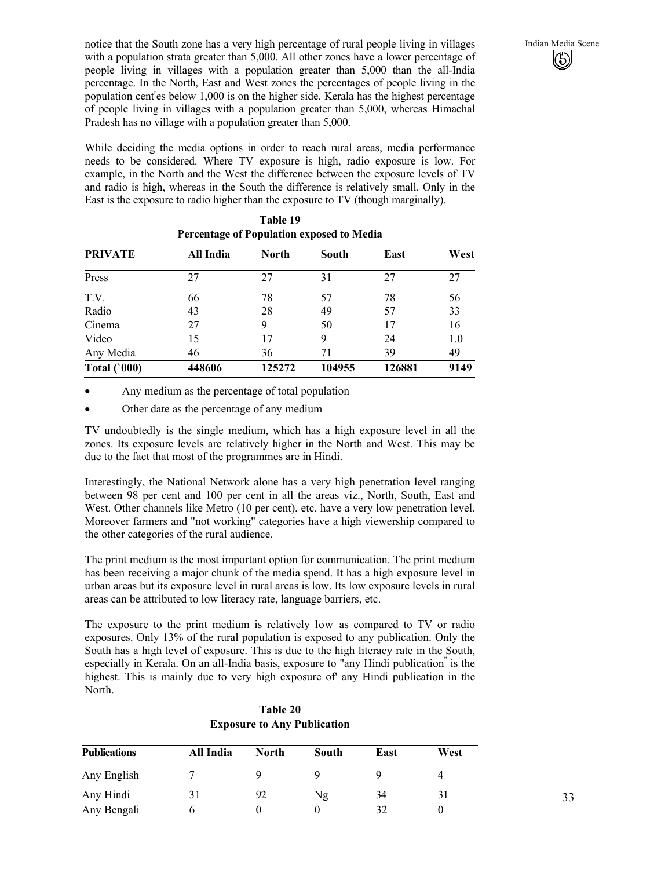notice that the South zone has a very high percentage of rural people living in villages Indian Media Scene with a population strata greater than 5,000. All other zones have a lower percentage of people living in villages with a population greater than 5,000 than the all-India percentage. In the North, East and West zones the percentages of people living in the population cent<sup>r</sup>es below 1,000 is on the higher side. Kerala has the highest percentage of people living in villages with a population greater than 5,000, whereas Himachal Pradesh has no village with a population greater than 5,000.

While deciding the media options in order to reach rural areas, media performance needs to be considered. Where TV exposure is high, radio exposure is low. For example, in the North and the West the difference between the exposure levels of TV and radio is high, whereas in the South the difference is relatively small. Only in the East is the exposure to radio higher than the exposure to TV (though marginally).

| Percentage of Population exposed to Media |           |        |        |        |      |  |  |
|-------------------------------------------|-----------|--------|--------|--------|------|--|--|
| <b>PRIVATE</b>                            | All India | North  | South  | East   | West |  |  |
| Press                                     | 27        | 27     | 31     | 27     | 27   |  |  |
| T.V.                                      | 66        | 78     | 57     | 78     | 56   |  |  |
| Radio                                     | 43        | 28     | 49     | 57     | 33   |  |  |
| Cinema                                    | 27        | 9      | 50     | 17     | 16   |  |  |
| Video                                     | 15        | 17     | 9      | 24     | 1.0  |  |  |
| Any Media                                 | 46        | 36     | 71     | 39     | 49   |  |  |
| Total $(000)$                             | 448606    | 125272 | 104955 | 126881 | 9149 |  |  |

**Table 19 Percentage of Population exposed to Media** 

- Any medium as the percentage of total population
- Other date as the percentage of any medium

TV undoubtedly is the single medium, which has a high exposure level in all the zones. Its exposure levels are relatively higher in the North and West. This may be due to the fact that most of the programmes are in Hindi.

Interestingly, the National Network alone has a very high penetration level ranging between 98 per cent and 100 per cent in all the areas viz., North, South, East and West. Other channels like Metro (10 per cent), etc. have a very low penetration level. Moreover farmers and "not working" categories have a high viewership compared to the other categories of the rural audience.

The print medium is the most important option for communication. The print medium has been receiving a major chunk of the media spend. It has a high exposure level in urban areas but its exposure level in rural areas is low. Its low exposure levels in rural areas can be attributed to low literacy rate, language barriers, etc.

The exposure to the print medium is relatively low as compared to TV or radio exposures. Only 13% of the rural population is exposed to any publication. Only the South has a high level of exposure. This is due to the high literacy rate in the South, especially in Kerala. On an all-India basis, exposure to "any Hindi publication" is the highest. This is mainly due to very high exposure of' any Hindi publication in the North.

| <b>Publications</b> | All India | North | South | East | West |
|---------------------|-----------|-------|-------|------|------|
| Any English         |           |       |       | u    |      |
| Any Hindi           | 31        | 92    | Ng    | 34   | 31   |
| Any Bengali         |           |       |       | 32   |      |

**Table 20 Exposure to Any Publication**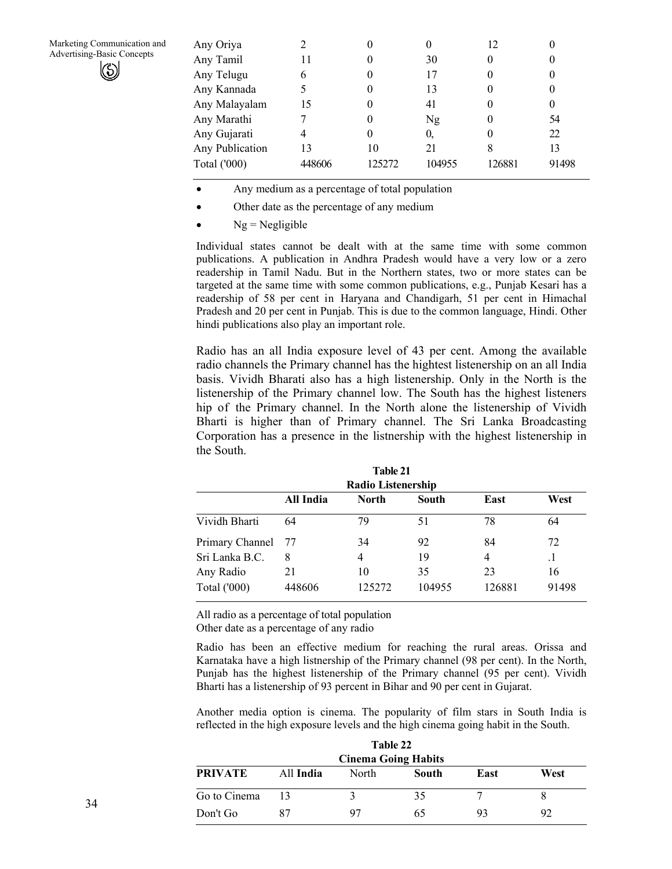| Any Oriya           |        |        |        | 12     |       |
|---------------------|--------|--------|--------|--------|-------|
| Any Tamil           | 11     |        | 30     |        |       |
| Any Telugu          | 6      |        | 17     |        |       |
| Any Kannada         |        |        | 13     |        |       |
| Any Malayalam       | 15     |        | 41     |        | 0     |
| Any Marathi         |        |        | Ng     | 0      | 54    |
| Any Gujarati        |        |        | 0.     |        | 22    |
| Any Publication     | 13     | 10     | 21     | 8      | 13    |
| <b>Total</b> ('000) | 448606 | 125272 | 104955 | 126881 | 91498 |
|                     |        |        |        |        |       |

- Any medium as a percentage of total population
- Other date as the percentage of any medium
- $Ng = Negligible$

Individual states cannot be dealt with at the same time with some common publications. A publication in Andhra Pradesh would have a very low or a zero readership in Tamil Nadu. But in the Northern states, two or more states can be targeted at the same time with some common publications, e.g., Punjab Kesari has a readership of 58 per cent in Haryana and Chandigarh, 51 per cent in Himachal Pradesh and 20 per cent in Punjab. This is due to the common language, Hindi. Other hindi publications also play an important role.

Radio has an all India exposure level of 43 per cent. Among the available radio channels the Primary channel has the hightest listenership on an all India basis. Vividh Bharati also has a high listenership. Only in the North is the listenership of the Primary channel low. The South has the highest listeners hip of the Primary channel. In the North alone the listenership of Vividh Bharti is higher than of Primary channel. The Sri Lanka Broadcasting Corporation has a presence in the listnership with the highest listenership in the South.

| Table 21                                           |        |                           |        |                |       |  |  |
|----------------------------------------------------|--------|---------------------------|--------|----------------|-------|--|--|
|                                                    |        | <b>Radio Listenership</b> |        |                |       |  |  |
| All India<br><b>North</b><br>West<br>East<br>South |        |                           |        |                |       |  |  |
| Vividh Bharti                                      | 64     | 79                        | 51     | 78             | 64    |  |  |
| Primary Channel                                    | -77    | 34                        | 92     | 84             | 72    |  |  |
| Sri Lanka B.C.                                     | 8      | 4                         | 19     | $\overline{4}$ |       |  |  |
| Any Radio                                          | 21     | 10                        | 35     | 23             | 16    |  |  |
| <b>Total</b> ('000)                                | 448606 | 125272                    | 104955 | 126881         | 91498 |  |  |

All radio as a percentage of total population Other date as a percentage of any radio

Radio has been an effective medium for reaching the rural areas. Orissa and Karnataka have a high listnership of the Primary channel (98 per cent). In the North, Punjab has the highest listenership of the Primary channel (95 per cent). Vividh Bharti has a listenership of 93 percent in Bihar and 90 per cent in Gujarat.

Another media option is cinema. The popularity of film stars in South India is reflected in the high exposure levels and the high cinema going habit in the South.

| <b>Table 22</b><br><b>Cinema Going Habits</b> |    |    |    |    |    |
|-----------------------------------------------|----|----|----|----|----|
|                                               |    |    |    |    |    |
| Go to Cinema                                  | 13 | ζ  | 35 |    |    |
| Don't Go                                      |    | 97 | 65 | 93 | 92 |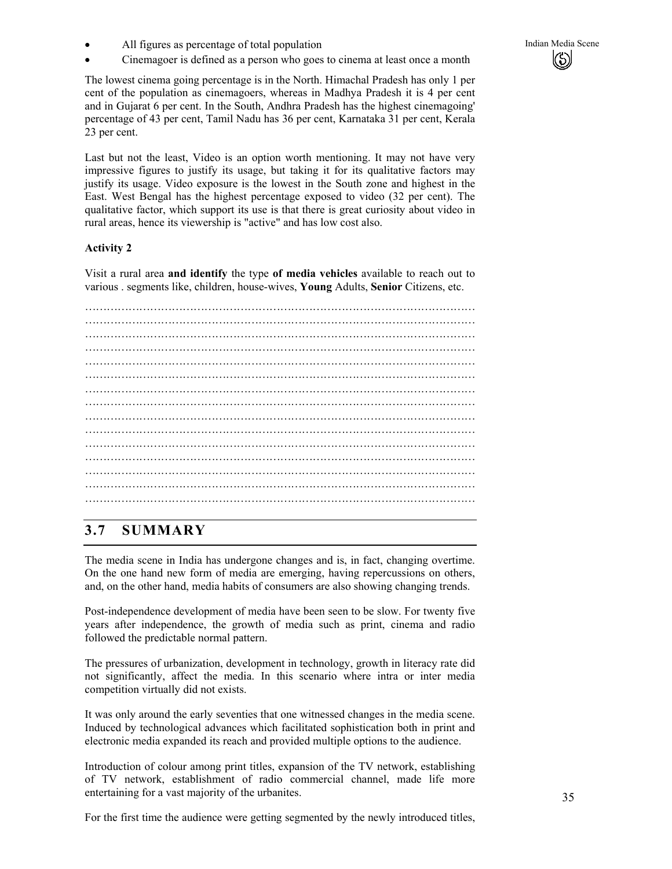- All figures as percentage of total population Indian Media Scene Indian Media Scene
- Cinemagoer is defined as a person who goes to cinema at least once a month

The lowest cinema going percentage is in the North. Himachal Pradesh has only 1 per cent of the population as cinemagoers, whereas in Madhya Pradesh it is 4 per cent and in Gujarat 6 per cent. In the South, Andhra Pradesh has the highest cinemagoing' percentage of 43 per cent, Tamil Nadu has 36 per cent, Karnataka 31 per cent, Kerala 23 per cent.

Last but not the least, Video is an option worth mentioning. It may not have very impressive figures to justify its usage, but taking it for its qualitative factors may justify its usage. Video exposure is the lowest in the South zone and highest in the East. West Bengal has the highest percentage exposed to video (32 per cent). The qualitative factor, which support its use is that there is great curiosity about video in rural areas, hence its viewership is "active" and has low cost also.

#### **Activity 2**

Visit a rural area **and identify** the type **of media vehicles** available to reach out to various . segments like, children, house-wives, **Young** Adults, **Senior** Citizens, etc.

……………………………………………………………………………………………… ……………………………………………………………………………………………… ……………………………………………………………………………………………… ……………………………………………………………………………………………… ……………………………………………………………………………………………… ……………………………………………………………………………………………… ……………………………………………………………………………………………… ……………………………………………………………………………………………… ……………………………………………………………………………………………… ……………………………………………………………………………………………… ……………………………………………………………………………………………… ………………………………………………………………………………………………

## **3.7 SUMMARY**

The media scene in India has undergone changes and is, in fact, changing overtime. On the one hand new form of media are emerging, having repercussions on others, and, on the other hand, media habits of consumers are also showing changing trends.

Post-independence development of media have been seen to be slow. For twenty five years after independence, the growth of media such as print, cinema and radio followed the predictable normal pattern.

The pressures of urbanization, development in technology, growth in literacy rate did not significantly, affect the media. In this scenario where intra or inter media competition virtually did not exists.

It was only around the early seventies that one witnessed changes in the media scene. Induced by technological advances which facilitated sophistication both in print and electronic media expanded its reach and provided multiple options to the audience.

Introduction of colour among print titles, expansion of the TV network, establishing of TV network, establishment of radio commercial channel, made life more entertaining for a vast majority of the urbanites.

For the first time the audience were getting segmented by the newly introduced titles,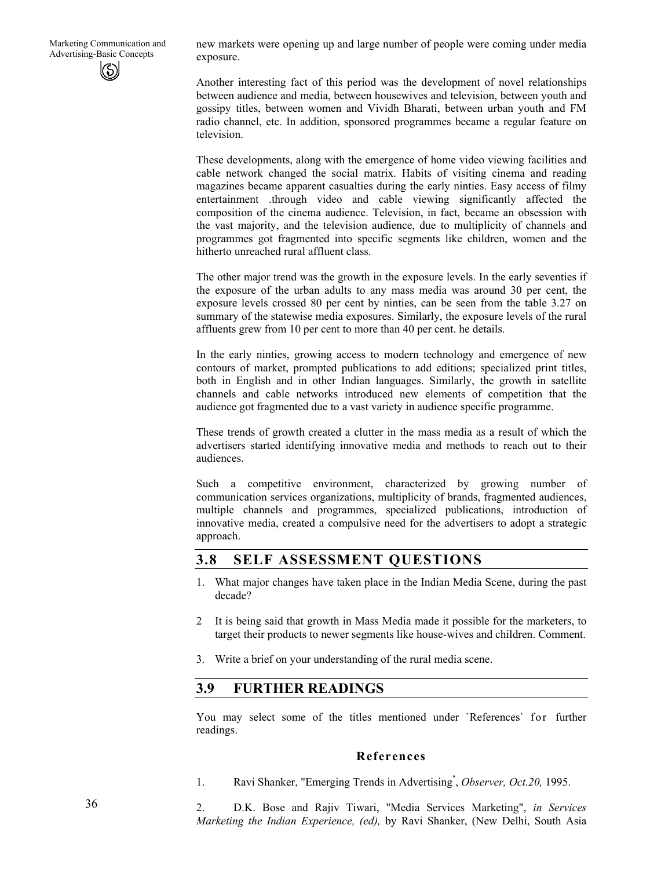new markets were opening up and large number of people were coming under media exposure.

Another interesting fact of this period was the development of novel relationships between audience and media, between housewives and television, between youth and gossipy titles, between women and Vividh Bharati, between urban youth and FM radio channel, etc. In addition, sponsored programmes became a regular feature on television.

These developments, along with the emergence of home video viewing facilities and cable network changed the social matrix. Habits of visiting cinema and reading magazines became apparent casualties during the early ninties. Easy access of filmy entertainment .through video and cable viewing significantly affected the composition of the cinema audience. Television, in fact, became an obsession with the vast majority, and the television audience, due to multiplicity of channels and programmes got fragmented into specific segments like children, women and the hitherto unreached rural affluent class.

The other major trend was the growth in the exposure levels. In the early seventies if the exposure of the urban adults to any mass media was around 30 per cent, the exposure levels crossed 80 per cent by ninties, can be seen from the table 3.27 on summary of the statewise media exposures. Similarly, the exposure levels of the rural affluents grew from 10 per cent to more than 40 per cent. he details.

In the early ninties, growing access to modern technology and emergence of new contours of market, prompted publications to add editions; specialized print titles, both in English and in other Indian languages. Similarly, the growth in satellite channels and cable networks introduced new elements of competition that the audience got fragmented due to a vast variety in audience specific programme.

These trends of growth created a clutter in the mass media as a result of which the advertisers started identifying innovative media and methods to reach out to their audiences.

Such a competitive environment, characterized by growing number of communication services organizations, multiplicity of brands, fragmented audiences, multiple channels and programmes, specialized publications, introduction of innovative media, created a compulsive need for the advertisers to adopt a strategic approach.

## **3.8 SELF ASSESSMENT QUESTIONS**

- 1. What major changes have taken place in the Indian Media Scene, during the past decade?
- 2 It is being said that growth in Mass Media made it possible for the marketers, to target their products to newer segments like house-wives and children. Comment.
- 3. Write a brief on your understanding of the rural media scene.

## **3.9 FURTHER READINGS**

You may select some of the titles mentioned under `References` for further readings.

#### **References**

1. Ravi Shanker, "Emerging Trends in Advertising" , *Observer, Oct.20,* 1995.

2. D.K. Bose and Rajiv Tiwari, "Media Services Marketing", *in Services Marketing the Indian Experience, (ed),* by Ravi Shanker, (New Delhi, South Asia